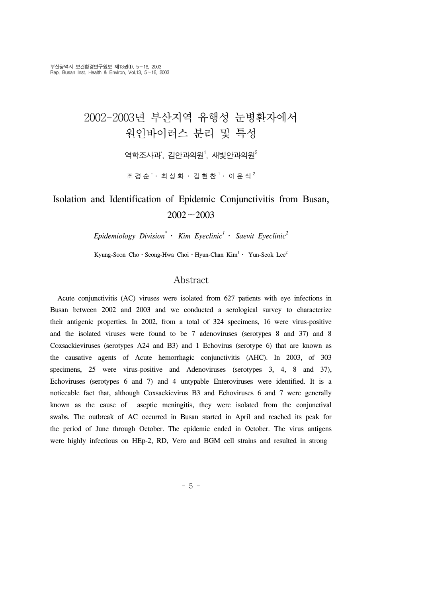# 2002-2003년 부산지역 유행성 눈병환자에서 원인바이러스 분리 및 특성

역학조사과 $^{\rm *}$ , 김안과의원 $^{\rm l}$ , 새빛안과의원 $^{\rm 2}$ 

조 경 순 ゙・ 최 성 화 ・ 김 현 찬 <sup>1</sup> ・ 이 윤 석 <sup>2</sup>

## Isolation and Identification of Epidemic Conjunctivitis from Busan, 2002∼2003

*Epidemiology Division\** ․ *Kim Eyeclinic1* ․ *Saevit Eyeclinic2*

Kyung-Soon Cho • Seong-Hwa Choi • Hyun-Chan Kim $^1$  • Yun-Seok Lee $^2$ 

## Abstract

 Acute conjunctivitis (AC) viruses were isolated from 627 patients with eye infections in Busan between 2002 and 2003 and we conducted a serological survey to characterize their antigenic properties. In 2002, from a total of 324 specimens, 16 were virus-positive and the isolated viruses were found to be 7 adenoviruses (serotypes 8 and 37) and 8 Coxsackieviruses (serotypes A24 and B3) and 1 Echovirus (serotype 6) that are known as the causative agents of Acute hemorrhagic conjunctivitis (AHC). In 2003, of 303 specimens, 25 were virus-positive and Adenoviruses (serotypes 3, 4, 8 and 37), Echoviruses (serotypes 6 and 7) and 4 untypable Enteroviruses were identified. It is a noticeable fact that, although Coxsackievirus B3 and Echoviruses 6 and 7 were generally known as the cause of aseptic meningitis, they were isolated from the conjunctival swabs. The outbreak of AC occurred in Busan started in April and reached its peak for the period of June through October. The epidemic ended in October. The virus antigens were highly infectious on HEp-2, RD, Vero and BGM cell strains and resulted in strong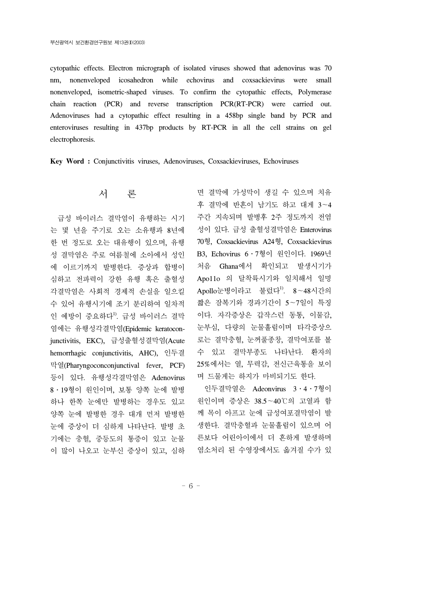cytopathic effects. Electron micrograph of isolated viruses showed that adenovirus was 70 nm, nonenveloped icosahedron while echovirus and coxsackievirus were small nonenveloped, isometric-shaped viruses. To confirm the cytopathic effects, Polymerase chain reaction (PCR) and reverse transcription PCR(RT-PCR) were carried out. Adenoviruses had a cytopathic effect resulting in a 458bp single band by PCR and enteroviruses resulting in 437bp products by RT-PCR in all the cell strains on gel electrophoresis.

**Key Word :** Conjunctivitis viruses, Adenoviruses, Coxsackieviruses, Echoviruses

### 서 론

 급성 바이러스 결막염이 유행하는 시기 는 몇 년을 주기로 오는 소유행과 8년에 한 번 정도로 오는 대유행이 있으며, 유행 성 결막염은 주로 여름철에 소아에서 성인 에 이르기까지 발병한다. 증상과 합병이 심하고 전파력이 강한 유행 혹은 출혈성 각결막염은 사회적 경제적 손실을 일으킬 수 있어 유행시기에 조기 분리하여 일차적 인 예방이 중요하다<sup>1)</sup>. 급성 바이러스 결막 염에는 유행성각결막염(Epidemic keratoconjunctivitis, EKC), 급성출혈성결막염(Acute hemorrhagic conjunctivitis, AHC), 인두결 막열(Pharyngoconconjunctival fever, PCF) 등이 있다. 유행성각결막염은 Adenovirus 8․19형이 원인이며, 보통 양쪽 눈에 발병 하나 한쪽 눈에만 발병하는 경우도 있고 양쪽 눈에 발병한 경우 대개 먼저 발병한 눈에 증상이 더 심하게 나타난다. 발병 초 기에는 충혈, 중등도의 통증이 있고 눈물 이 많이 나오고 눈부신 증상이 있고, 심하

면 결막에 가성막이 생길 수 있으며 치유 후 결막에 반흔이 남기도 하고 대게 3∼4 주간 지속되며 발병후 2주 정도까지 전염 성이 있다. 급성 출혈성결막염은 Enterovirus 70형, Coxsackievirus A24형, Coxsackievirus B3, Echovirus 6․7형이 원인이다. 1969년 처음 Ghana에서 확인되고 발생시기가 Apo11o 의 달착륙시기와 일치해서 일명 Apollo눈병이라고 불렀다<sup>1)</sup>. 8∼48시간의 짧은 잠복기와 경과기간이 5∼7일이 특징 이다. 자각증상은 갑작스런 동통, 이물감, 눈부심, 다량의 눈물흘림이며 타각증상으 로는 결막충혈, 눈꺼풀종창, 결막여포를 볼 수 있고 결막부종도 나타난다. 환자의 25%에서는 열, 무력감, 전신근육통을 보이 며 드물게는 하지가 마비되기도 한다.

 인두결막열은 Adeonvirus 3․4․7형이 원인이며 증상은 38.5∼40℃의 고열과 함 께 목이 아프고 눈에 급성여포결막염이 발 생한다. 결막충혈과 눈물흘림이 있으며 어 른보다 어린아이에서 더 흔하게 발생하며 염소처리 된 수영장에서도 옮겨질 수가 있

- 6 -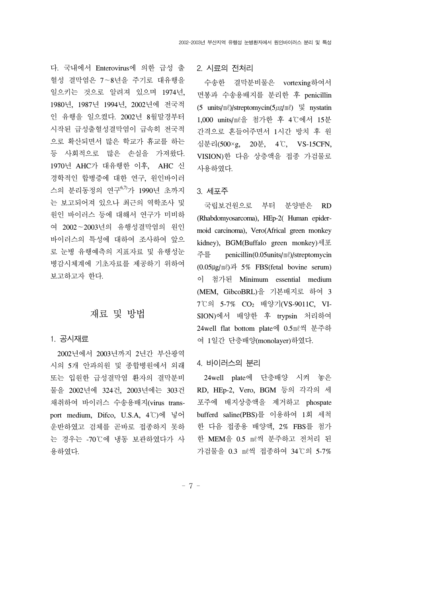다. 국내에서 Enterovirus에 의한 급성 출 혈성 결막염은 7∼8년을 주기로 대유행을 일으키는 것으로 알려져 있으며 1974년, 1980년, 1987년 1994년, 2002년에 전국적 인 유행을 일으켰다. 2002년 8월말경부터 시작된 급성출혈성결막염이 급속히 전국적 으로 확산되면서 많은 학교가 휴교를 하는 등 사회적으로 많은 손실을 가져왔다. 1970년 AHC가 대유행한 이후, AHC 신 경학적인 합병증에 대한 연구, 원인바이러 스의 분리동정의 연구6,7)가 1990년 초까지 는 보고되어져 있으나 최근의 역학조사 및 원인 바이러스 등에 대해서 연구가 미비하 여 2002∼2003년의 유행성결막염의 원인 바이러스의 특성에 대하여 조사하여 앞으 로 눈병 유행예측의 지표자료 및 유행성눈 병감시체계에 기초자료를 제공하기 위하여 보고하고자 한다.

## 재료 및 방법

#### 1. 공시재료

 2002년에서 2003년까지 2년간 부산광역 시의 5개 안과의원 및 종합병원에서 외래 또는 입원한 급성결막염 환자의 결막분비 물을 2002년에 324건, 2003년에는 303건 채취하여 바이러스 수송용배지(virus transport medium, Difco, U.S.A, 4℃)에 넣어 운반하였고 검체를 곧바로 접종하지 못하 는 경우는 -70℃에 냉동 보관하였다가 사 용하였다.

2. 시료의 전처리

 수송한 결막분비물은 vortexing하여서 면봉과 수송용배지를 분리한 후 penicillin (5 units/ $m\ell$ )/streptomycin( $5\mu$ g/ $m\ell$ ) 및 nystatin 1,000 units/㎖을 첨가한 후 4℃에서 15분 간격으로 흔들어주면서 1시간 방치 후 원 심분리(500×g, 20분, 4℃, VS-15CFN, VISION)한 다음 상층액을 접종 가검물로 사용하였다.

#### 3. 세포주

 국립보건원으로 부터 분양받은 RD (Rhabdomyosarcoma), HEp-2( Human epidermoid carcinoma), Vero(Africal green monkey kidney), BGM(Buffalo green monkey)세포 주를 penicillin(0.05units/㎖)/streptomycin  $(0.05 \mu g/m\ell)$ 과 5% FBS(fetal bovine serum) 이 첨가된 Minimum essential medium (MEM, GibcoBRL)을 기본배지로 하여 3 7℃의 5-7% CO2 배양기(VS-9011C, VI-SION)에서 배양한 후 trypsin 처리하여 24well flat bottom plate에 0.5㎖씩 분주하 여 1일간 단층배양(monolayer)하였다.

#### 4. 바이러스의 분리

 24well plate에 단층배양 시켜 놓은 RD, HEp-2, Vero, BGM 등의 각각의 세 포주에 배지상층액을 제거하고 phospate bufferd saline(PBS)를 이용하여 1회 세척 한 다음 접종용 배양액, 2% FBS를 첨가 한 MEM을 0.5 ㎖씩 분주하고 전처리 된 가검물을 0.3 ㎖씩 접종하여 34℃의 5-7%

 $- 7 -$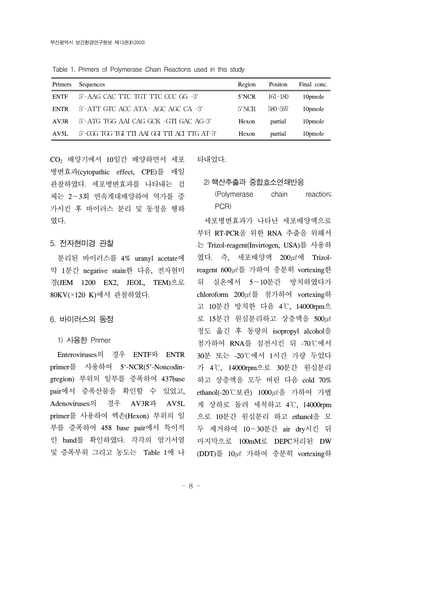Table 1. Primers of Polymerase Chain Reactions used in this study

| Sequences                                       | Region | Positon | Final conc.         |
|-------------------------------------------------|--------|---------|---------------------|
| 5'-AAG CAC TTC TGT TTC CCC GG -3'               | 5'NCR  | 161-180 | 10pmole             |
| $5'$ -ATT GTC ACC ATA- AGC AGC CA -3'           | 5'NCR  | 580-597 | 10pmole             |
| 5'-ATG TGG AAI CAG GCK -GTI GAC AG-3'           | Hexon  | partial | 10 <sub>pmole</sub> |
| $5'$ -CGG TGG TGI TTI AAI GGI TTI ACI TTG AT-3' | Hexon  | partial | 10pmole             |
|                                                 |        |         |                     |

CO<sub>2</sub> 배양기에서 10일간 배양하면서 세포 병변효과(cytopathic effect, CPE)를 매일 관찰하였다. 세포병변효과를 나타내는 검 체는 2∼3회 연속계대배양하여 역가를 증 가시킨 후 바이러스 분리 및 동정을 행하 였다.

#### 5. 전자현미경 관찰

 분리된 바이러스를 4% uranyl acetate에 약 1분간 negative stain한 다음, 전자현미 경(JEM 1200 EX2, JEOL, TEM)으로 80KV(×120 K)에서 관찰하였다.

#### 6. 바이러스의 동정

#### 1) 사용한 Primer

 Enteroviruses의 경우 ENTF와 ENTR primer를 사용하여 5'-NCR(5'-Noncodingregion) 부위의 일부를 증폭하여 437base pair에서 증폭산물을 확인할 수 있었고, Adenoviruses의 경우 AV3R과 AV5L primer를 사용하여 헥손(Hexon) 부위의 일 부를 증폭하여 458 base pair에서 특이적 인 band를 확인하였다. 각각의 염기서열 및 증폭부위 그리고 농도는 Table 1에 나 타내었다.

#### 2) 핵산추출과 중합효소연쇄반응

| (Polymerase | chain | reaction; |
|-------------|-------|-----------|
| PCR)        |       |           |

 세포병변효과가 나타난 세포배양액으로 부터 RT-PCR을 위한 RNA 추출을 위해서 는 Trizol-reagent(Invirtogen, USA)를 사용하 였다. 즉, 세포배양액  $200 \mu\ell$ 에 Trizolreagent 600㎕를 가하여 충분히 vortexing한 뒤 실온에서 5∼10분간 방치하였다가 chloroform 200㎕를 첨가하여 vortexing하 고 10분간 방치한 다음 4℃, 14000rpm으 로 15분간 원심분리하고 상층액을 500 $\mu$ 정도 옮긴 후 동량의 isopropyl alcohol을 첨가하여 RNA를 침전시킨 뒤 -70℃에서 30분 또는 -20℃에서 1시간 가량 두었다 가 4℃, 14000rpm으로 30분간 원심분리 하고 상층액을 모두 버린 다음 cold 70% ethanol(-20℃보관) 1000㎕을 가하여 가볍 게 상하로 돌려 세척하고 4℃, 14000rpm 으로 10분간 원심분리 하고 ethanol을 모 두 제거하여 10∼30분간 air dry시킨 뒤 마지막으로 100mM로 DEPC처리된 DW (DDT)를 10㎕ 가하여 충분히 vortexing하

- 8 -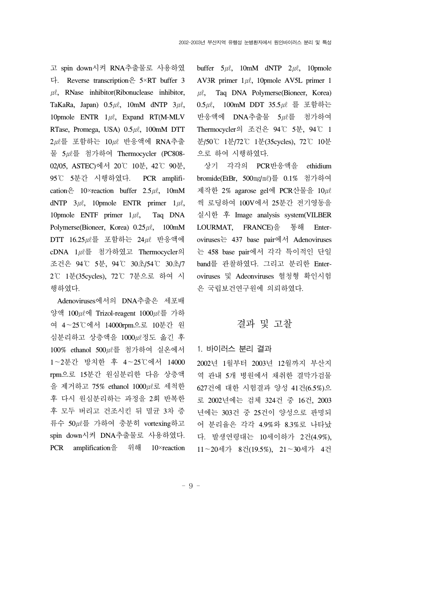고 spin down시켜 RNA추출물로 사용하였 다. Reverse transcription은 5×RT buffer 3  $\mu$ . RNase inhibitor(Ribonuclease inhibitor, TaKaRa, Japan)  $0.5 \mu \ell$ , 10mM dNTP  $3\mu \ell$ , 10pmole ENTR  $1\mu\ell$ , Expand RT(M-MLV RTase, Promega, USA)  $0.5 \mu\ell$ , 100mM DTT  $2\mu\ell \equiv$  포함하는  $10\mu\ell$  반응액에 RNA추출 물 5㎕를 첨가하여 Thermocycler (PC808- 02/05, ASTEC)에서 20℃ 10분, 42℃ 90분, 95℃ 5분간 시행하였다. PCR amplification  $\frac{\circ}{\leftarrow}$  10×reaction buffer 2.5 $\mu$ l, 10mM dNTP  $3\mu\ell$ , 10pmole ENTR primer  $1\mu\ell$ , 10pmole ENTF primer  $1\mu\ell$ , Taq DNA Polymerse(Bioneer, Korea)  $0.25 \mu\ell$ , 100mM DTT 16.25㎕를 포함하는 24㎕ 반응액에 cDNA 1㎕를 첨가하였고 Thermocycler의 조건은 94℃ 5분, 94℃ 30초/54℃ 30초/7 2℃ 1분(35cycles), 72℃ 7분으로 하여 시 행하였다.

 Adenoviruses에서의 DNA추출은 세포배 양액 100㎕에 Trizol-reagent 1000㎕를 가하 여 4∼25℃에서 14000rpm으로 10분간 원 심분리하고 상층액을 1000㎕정도 옮긴 후 100% ethanol 500㎕를 첨가하여 실온에서 1∼2분간 방치한 후 4∼25℃에서 14000 rpm으로 15분간 원심분리한 다음 상층액 을 제거하고 75% ethanol 1000㎕로 세척한 후 다시 원심분리하는 과정을 2회 반복한 후 모두 버리고 건조시킨 뒤 멸균 3차 증 류수 50㎕를 가하여 충분히 vortexing하고 spin down시켜 DNA추출물로 사용하였다. PCR amplification을 위해 10×reaction buffer  $5\mu\ell$ , 10mM dNTP  $2\mu\ell$ , 10pmole AV3R primer  $1\mu\ell$ , 10pmole AV5L primer 1  $\mu$ , Taq DNA Polymerse(Bioneer, Korea) 0.5㎕, 100mM DDT 35.5㎕ 를 포함하는 반응액에 DNA추출물 5㎕를 첨가하여 Thermocycler의 조건은 94℃ 5분, 94℃ 1 분/50℃ 1분/72℃ 1분(35cycles), 72℃ 10분 으로 하여 시행하였다.

 상기 각각의 PCR반응액을 ethidium bromide(EtBr, 500㎎/㎖)를 0.1% 첨가하여 제작한 2% agarose gel에 PCR산물을 10*ul* 씩 로딩하여 100V에서 25분간 전기영동을 실시한 후 Image analysis system(VILBER LOURMAT, FRANCE)을 통해 Enteroviruses는 437 base pair에서 Adenoviruses 는 458 base pair에서 각각 특이적인 단일 band를 관찰하였다. 그리고 분리한 Enteroviruses 및 Adeonviruses 혈청형 확인시험 은 국립보건연구원에 의뢰하였다.

## 결과 및 고찰

#### 1. 바이러스 분리 결과

2002년 1월부터 2003년 12월까지 부산지 역 관내 5개 병원에서 채취한 결막가검물 627건에 대한 시험결과 양성 41건(6.5%)으 로 2002년에는 검체 324건 중 16건, 2003 년에는 303건 중 25건이 양성으로 판명되 어 분리율은 각각 4.9%와 8.3%로 나타났 다. 발생연령대는 10세이하가 2건(4.9%), 11∼20세가 8건(19.5%), 21∼30세가 4건

- 9 -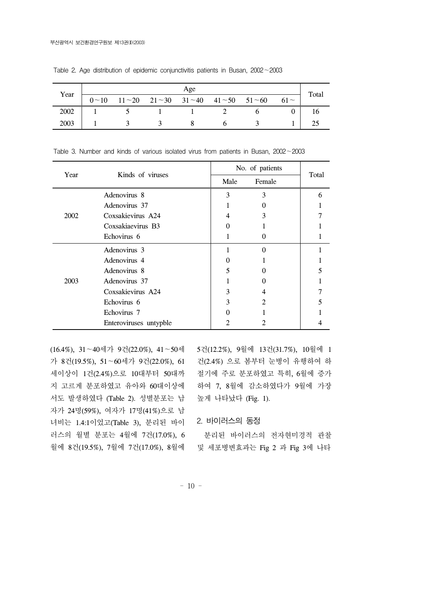|      | Age         |  |  |                                                                  |  |  | Total  |  |
|------|-------------|--|--|------------------------------------------------------------------|--|--|--------|--|
| Year | $0 \sim 10$ |  |  | $11 \sim 20$ $21 \sim 30$ $31 \sim 40$ $41 \sim 50$ $51 \sim 60$ |  |  | $61 -$ |  |
| 2002 |             |  |  |                                                                  |  |  |        |  |
| 2003 |             |  |  |                                                                  |  |  |        |  |

Table 2. Age distribution of epidemic conjunctivitis patients in Busan, 2002∼2003

| Year | Kinds of viruses       |      | No. of patients |       |  |
|------|------------------------|------|-----------------|-------|--|
|      |                        | Male | Female          | Total |  |
| 2002 | Adenovirus 8           | 3    | 3               | 6     |  |
|      | Adenovirus 37          |      | 0               |       |  |
|      | Coxsakievirus A24      | 4    | 3               |       |  |
|      | Coxsakiaevirus B3      | 0    |                 |       |  |
|      | Echovirus 6            |      | 0               |       |  |
| 2003 | Adenovirus 3           |      | $\Omega$        |       |  |
|      | Adenovirus 4           | 0    |                 |       |  |
|      | Adenovirus 8           | 5    |                 |       |  |
|      | Adenovirus 37          |      |                 |       |  |
|      | Coxsakievirus A24      | 3    | 4               |       |  |
|      | Echovirus 6            | 3    | 2               |       |  |
|      | Echovirus 7            |      |                 |       |  |
|      | Enteroviruses untypble |      |                 |       |  |

Table 3. Number and kinds of various isolated virus from patients in Busan, 2002∼2003

(16.4%), 31∼40세가 9건(22.0%), 41∼50세 가 8건(19.5%), 51∼60세가 9건(22.0%), 61 세이상이 1건(2.4%)으로 10대부터 50대까 지 고르게 분포하였고 유아와 60대이상에 서도 발생하였다 (Table 2). 성별분포는 남 자가 24명(59%), 여자가 17명(41%)으로 남 녀비는 1.4:1이었고(Table 3), 분리된 바이 러스의 월별 분포는 4월에 7건(17.0%), 6 월에 8건(19.5%), 7월에 7건(17.0%), 8월에 5건(12.2%), 9월에 13건(31.7%), 10월에 1 건(2.4%) 으로 봄부터 눈병이 유행하여 하 절기에 주로 분포하였고 특히, 6월에 증가 하여 7, 8월에 감소하였다가 9월에 가장 높게 나타났다 (Fig. 1).

#### 2. 바이러스의 동정

 분리된 바이러스의 전자현미경적 관찰 및 세포병변효과는 Fig 2 과 Fig 3에 나타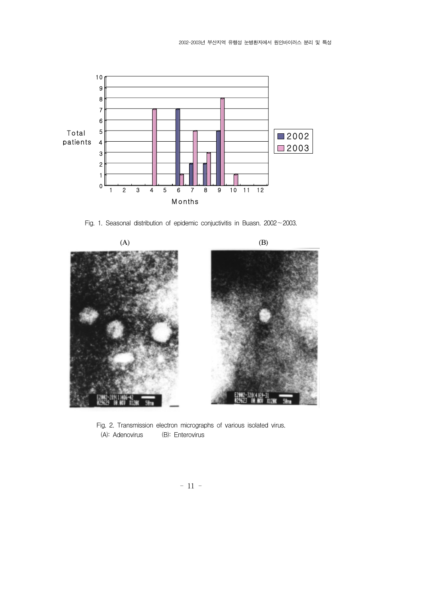

Fig. 1. Seasonal distribution of epidemic conjuctivitis in Buasn. 2002∼2003.



Fig. 2. Transmission electron micrographs of various isolated virus. (A): Adenovirus (B): Enterovirus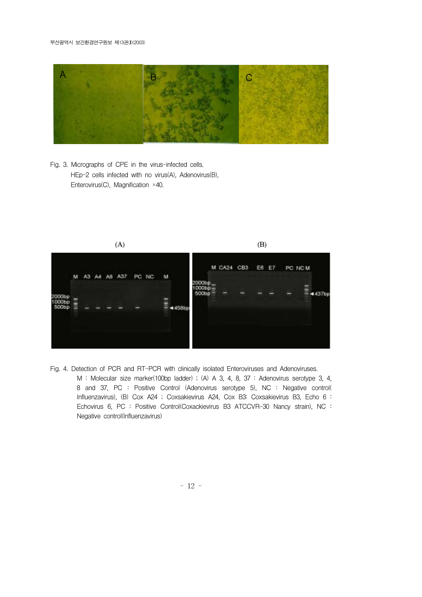#### 부산광역시 보건환경연구원보 제13권(I)(2003)



Fig. 3. Micrographs of CPE in the virus-infected cells. HEp-2 cells infected with no virus(A), Adenovirus(B), Enterovirus(C), Magnification ×40.



Fig. 4. Detection of PCR and RT-PCR with clinically isolated Enteroviruses and Adenoviruses. M : Molecular size marker(100bp ladder) ; (A) A 3, 4, 8, 37 : Adenovirus serotype 3, 4, 8 and 37, PC : Positive Control (Adenovirus serotype 5), NC : Negative control( Influenzavirus), (B) Cox A24 ; Coxsakievirus A24, Cox B3: Coxsakievirus B3, Echo 6 : Echovirus 6, PC : Positive Control(Coxackievirus B3 ATCCVR-30 Nancy strain), NC : Negative control(Influenzavirus)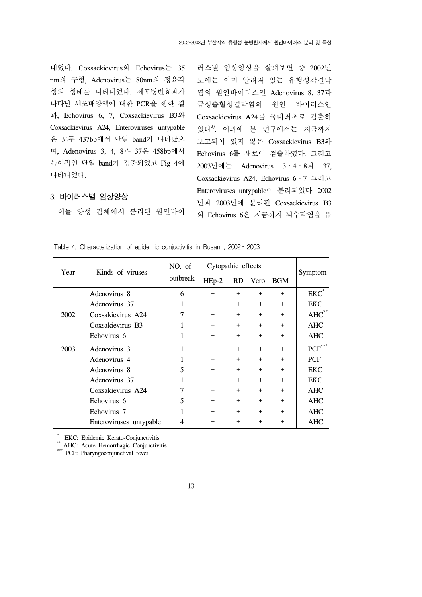내었다. Coxsackievirus와 Echovirus는 35 nm의 구형, Adenovirus는 80nm의 정육각 형의 형태를 나타내었다. 세포병변효과가 나타난 세포배양액에 대한 PCR을 행한 결 과, Echovirus 6, 7, Coxsackievirus B3와 Coxsackievirus A24, Enteroviruses untypable 은 모두 437bp에서 단일 band가 나타났으 며, Adenovirus 3, 4, 8과 37은 458bp에서 특이적인 단일 band가 검출되었고 Fig 4에 나타내었다.

#### 3. 바이러스별 임상양상

이들 양성 검체에서 분리된 원인바이

러스별 임상양상을 살펴보면 중 2002년 도에는 이미 알려져 있는 유행성각결막 염의 원인바이러스인 Adenovirus 8, 37과 급성출혈성결막염의 원인 바이러스인 Coxsackievirus A24를 국내최초로 검출하 였다<sup>3)</sup>. 이외에 본 연구에서는 지금까지 보고되어 있지 않은 Coxsackievirus B3와 Echovirus 6를 새로이 검출하였다. 그리고 2003년에는 Adenovirus 3․4․8과 37, Coxsackievirus A24, Echovirus 6․7 그리고 Enteroviruses untypable이 분리되었다. 2002 년과 2003년에 분리된 Coxsackievirus B3 와 Echovirus 6은 지금까지 뇌수막염을 유

| Year | Kinds of viruses        | NO. of<br>outbreak | Cytopathic effects |           |           |            |                  |
|------|-------------------------|--------------------|--------------------|-----------|-----------|------------|------------------|
|      |                         |                    | $HEp-2$            | <b>RD</b> | Vero      | <b>BGM</b> | Symptom          |
|      | Adenovirus 8            | 6                  | $+$                | $+$       | $+$       | $+$        | $EKC^*$          |
|      | Adenovirus 37           |                    | $^{+}$             | $^{+}$    | $^{+}$    | $^{+}$     | EKC              |
| 2002 | Coxsakievirus A24       |                    | $+$                | $+$       | $+$       | $^{+}$     | $AHC^{\ast\ast}$ |
|      | Coxsakievirus B3        |                    | $+$                | $^{+}$    | $+$       | $^{+}$     | <b>AHC</b>       |
|      | Echovirus 6             | 1                  | $+$                | $^{+}$    | $^{+}$    | $^{+}$     | <b>AHC</b>       |
| 2003 | Adenovirus 3            | 1                  | $+$                | $+$       | $+$       | $^{+}$     | $PCF***$         |
|      | Adenovirus 4            |                    | $+$                | $^{+}$    | $+$       | $^{+}$     | <b>PCF</b>       |
|      | Adenovirus 8            | 5                  | $+$                | $^{+}$    | $^{+}$    | $^{+}$     | EKC              |
|      | Adenovirus 37           | 1                  | $+$                | $^{+}$    | $+$       | $^{+}$     | <b>EKC</b>       |
|      | Coxsakievirus A24       | 7                  | $+$                | $^{+}$    | $^{+}$    | $^{+}$     | AHC              |
|      | Echovirus 6             | 5                  | $+$                | $^{+}$    | $\ddot{}$ | $^{+}$     | <b>AHC</b>       |
|      | Echovirus 7             |                    | $+$                | $^{+}$    | $^{+}$    | $^{+}$     | <b>AHC</b>       |
|      | Enteroviruses untypable | 4                  | $\ddot{}$          | $^{+}$    | $^{+}$    | $^{+}$     | AHC              |

Table 4. Characterization of epidemic conjuctivitis in Busan , 2002∼2003

\* EKC: Epidemic Kerato-Conjunctivitis

\*\* AHC: Acute Hemorrhagic Conjunctivitis PCF: Pharyngoconjunctival fever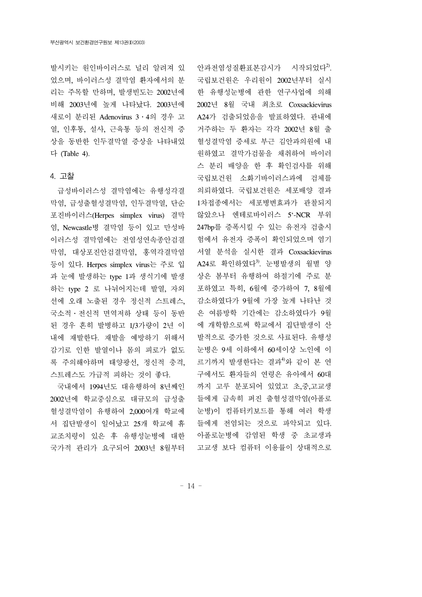발시키는 원인바이러스로 널리 알려져 있 었으며, 바이러스성 결막염 환자에서의 분 리는 주목할 만하며, 발생빈도는 2002년에 비해 2003년에 높게 나타났다. 2003년에 새로이 분리된 Adenovirus 3․4의 경우 고 열, 인후통, 설사, 근육통 등의 전신적 증 상을 동반한 인두결막열 증상을 나타내었 다 (Table 4).

#### 4. 고찰

 급성바이러스성 결막염에는 유행성각결 막염, 급성출혈성결막염, 인두결막열, 단순 포진바이러스(Herpes simplex virus) 결막 염, Newcastle병 결막염 등이 있고 만성바 이러스성 결막염에는 전염성연속종안검결 막염, 대상포진안검결막염, 홍역각결막염 등이 있다. Herpes simplex virus는 주로 입 과 눈에 발생하는 type 1과 생식기에 발생 하는 type 2 로 나뉘어지는데 발열, 자외 선에 오래 노출된 경우 정신적 스트레스, 국소적․전신적 면역저하 상태 등이 동반 된 경우 흔히 발병하고 1/3가량이 2년 이 내에 재발한다. 재발을 예방하기 위해서 감기로 인한 발열이나 몸의 피로가 없도 록 주의해야하며 태양광선, 정신적 충격, 스트레스도 가급적 피하는 것이 좋다.

 국내에서 1994년도 대유행하여 8년째인 2002년에 학교중심으로 대규모의 급성출 혈성결막염이 유행하여 2,000여개 학교에 서 집단발생이 일어났고 25개 학교에 휴 교조치령이 있은 후 유행성눈병에 대한 국가적 관리가 요구되어 2003년 8월부터

안과전염성질환표본감시가 시작되었다<sup>2</sup>. 국립보건원은 우리원이 2002년부터 실시 한 유행성눈병에 관한 연구사업에 의해 2002년 8월 국내 최초로 Coxsackievirus A24가 검출되었음을 발표하였다. 관내에 거주하는 두 환자는 각각 2002년 8월 출 혈성결막염 증세로 부근 김안과의원에 내 원하였고 결막가검물을 채취하여 바이러 스 분리 배양을 한 후 확인검사를 위해 국립보건원 소화기바이러스과에 검체를 의뢰하였다. 국립보건원은 세포배양 결과 1차접종에서는 세포병변효과가 관찰되지 않았으나 엔테로바이러스 5'-NCR 부위 247bp를 증폭시킬 수 있는 유전자 검출시 험에서 유전자 증폭이 확인되었으며 염기 서열 분석을 실시한 결과 Coxsackievirus A24로 확인하였다<sup>3)</sup>. 눈병발생의 월별 양 상은 봄부터 유행하여 하절기에 주로 분 포하였고 특히, 6월에 증가하여 7, 8월에 감소하였다가 9월에 가장 높게 나타난 것 은 여름방학 기간에는 감소하였다가 9월 에 개학함으로써 학교에서 집단발생이 산 발적으로 증가한 것으로 사료된다. 유행성 눈병은 9세 이하에서 60세이상 노인에 이 르기까지 발생한다는 결과4)와 같이 본 연 구에서도 환자들의 연령은 유아에서 60대 까지 고루 분포되어 있었고 초,중,고교생 들에게 급속히 퍼진 출혈성결막염(아폴로 눈병)이 컴퓨터키보드를 통해 여러 학생 들에게 전염되는 것으로 파악되고 있다. 아폴로눈병에 감염된 학생 중 초교생과 고교생 보다 컴퓨터 이용률이 상대적으로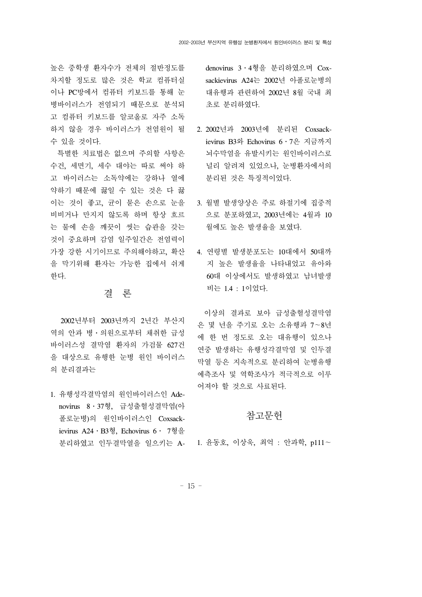높은 중학생 환자수가 전체의 절반정도를 차지할 정도로 많은 것은 학교 컴퓨터실 이나 PC방에서 컴퓨터 키보드를 통해 눈 병바이러스가 전염되기 때문으로 분석되 고 컴퓨터 키보드를 알코올로 자주 소독 하지 않을 경우 바이러스가 전염원이 될 수 있을 것이다.

 특별한 치료법은 없으며 주의할 사항은 수건, 세면기, 세수 대야는 따로 써야 하 고 바이러스는 소독약에는 강하나 열에 약하기 때문에 끓일 수 있는 것은 다 끓 이는 것이 좋고, 균이 묻은 손으로 눈을 비비거나 만지지 않도록 하며 항상 흐르 는 물에 손을 깨끗이 씻는 습관을 갖는 것이 중요하며 감염 일주일간은 전염력이 가장 강한 시기이므로 주의해야하고, 확산 을 막기위해 환자는 가능한 집에서 쉬게 한다.

## 결 론

 2002년부터 2003년까지 2년간 부산지 역의 안과 병ㆍ의원으로부터 채취한 급성 바이러스성 결막염 환자의 가검물 627건 을 대상으로 유행한 눈병 원인 바이러스 의 분리결과는

1. 유행성각결막염의 원인바이러스인 Adenovirus 8․37형, 급성출혈성결막염(아 폴로눈병)의 원인바이러스인 Coxsackievirus A24․B3형, Echovirus 6․ 7형을 분리하였고 인두결막열을 일으키는 A-1. 윤동호, 이상욱, 최억 : 안과학, p111∼

denovirus 3․4형을 분리하였으며 Coxsackievirus A24는 2002년 아폴로눈병의 대유행과 관련하여 2002년 8월 국내 최 초로 분리하였다.

- 2. 2002년과 2003년에 분리된 Coxsackievirus B3와 Echovirus 6․7은 지금까지 뇌수막염을 유발시키는 원인바이러스로 널리 알려져 있었으나, 눈병환자에서의 분리된 것은 특징적이었다.
	- 3. 월별 발생양상은 주로 하절기에 집중적 으로 분포하였고, 2003년에는 4월과 10 월에도 높은 발생율을 보였다.
- 4. 연령별 발생분포도는 10대에서 50대까 지 높은 발생율을 나타내었고 유아와 60대 이상에서도 발생하였고 남녀발생 비는 1.4 : 1이었다.

 이상의 결과로 보아 급성출혈성결막염 은 몇 년을 주기로 오는 소유행과 7∼8년 에 한 번 정도로 오는 대유행이 있으나 연중 발생하는 유행성각결막염 및 인두결 막열 등은 지속적으로 분리하여 눈병유행 예측조사 및 역학조사가 적극적으로 이루 어져야 할 것으로 사료된다.

## 참고문헌